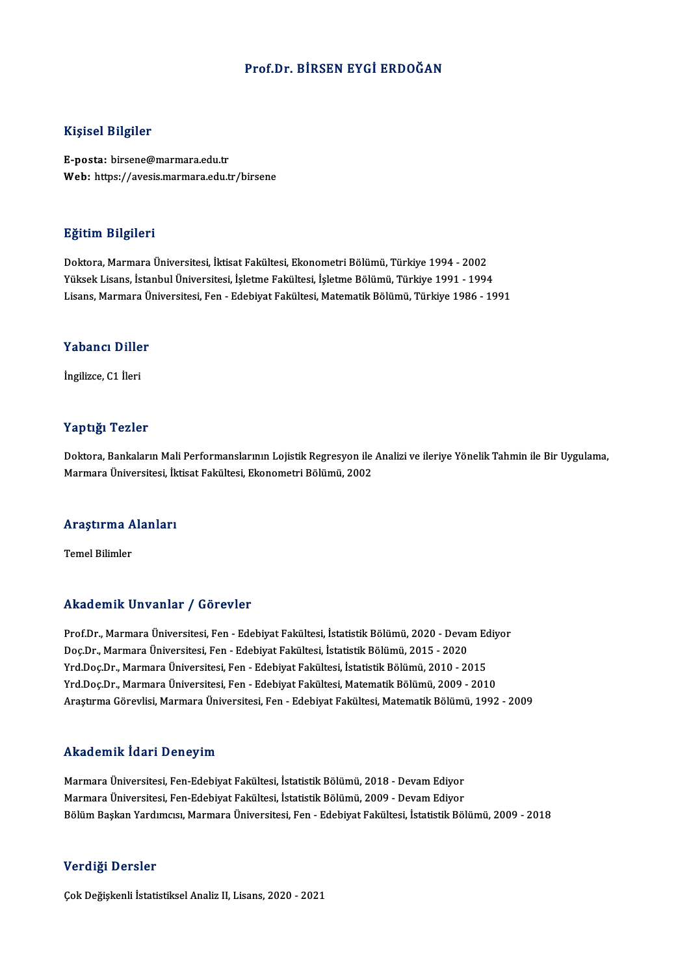## Prof.Dr. BİRSEN EYGİ ERDOĞAN

### Kişisel Bilgiler

E-posta: birsene@marmara.edu.tr Web: https://avesis.marmara.edu.tr/birsene

### Eğitim Bilgileri

Doktora, Marmara Üniversitesi, İktisat Fakültesi, Ekonometri Bölümü, Türkiye 1994 - 2002 YüksekLisans, İstanbulÜniversitesi, İşletme Fakültesi, İşletmeBölümü,Türkiye 1991 -1994 Lisans,MarmaraÜniversitesi,Fen-EdebiyatFakültesi,MatematikBölümü,Türkiye 1986 -1991

# Lisans, marmara u<br>Yabancı Diller Y<mark>abancı Dille</mark><br>İngilizce, C1 İleri

# İngilizce, C1 İleri<br>Yaptığı Tezler

Doktora, Bankaların Mali Performanslarının Lojistik Regresyon ile Analizi ve ileriye Yönelik Tahmin ile Bir Uygulama, Marmara Üniversitesi, İktisat Fakültesi, Ekonometri Bölümü, 2002

# marmara oniversitesi, ik<br>Araştırma Alanları <mark>Araştırma A</mark><br>Temel Bilimler

# Akademik Unvanlar / Görevler

Prof.Dr., Marmara Üniversitesi, Fen - Edebiyat Fakültesi, İstatistik Bölümü, 2020 - Devam Ediyor Doç.Dr., Marmara Üniversitesi, Fen - Edebiyat Fakültesi, İstatistik Bölümü, 2015 - 2020 Yrd.Doç.Dr., Marmara Üniversitesi, Fen - Edebiyat Fakültesi, İstatistik Bölümü, 2010 - 2015 Yrd.Doç.Dr., Marmara Üniversitesi, Fen - Edebiyat Fakültesi, Matematik Bölümü, 2009 - 2010 AraştırmaGörevlisi,MarmaraÜniversitesi,Fen-EdebiyatFakültesi,MatematikBölümü,1992 -2009

### Akademik İdari Deneyim

Akademik İdari Deneyim<br>Marmara Üniversitesi, Fen-Edebiyat Fakültesi, İstatistik Bölümü, 2018 - Devam Ediyor<br>Marmara Üniversitesi, Fen-Edebiyat Fakültesi, İstatistik Bölümü, 2009 - Devam Ediyor Marmara Üniversitesi, Fen-Edebiyat Fakültesi, İstatistik Bölümü, 2018 - Devam Ediyor<br>Marmara Üniversitesi, Fen-Edebiyat Fakültesi, İstatistik Bölümü, 2009 - Devam Ediyor<br>Bölüm Baskan Vardımcısı, Marmara Üniversitesi, Fen-E Marmara Üniversitesi, Fen-Edebiyat Fakültesi, İstatistik Bölümü, 2009 - Devam Ediyor<br>Bölüm Başkan Yardımcısı, Marmara Üniversitesi, Fen - Edebiyat Fakültesi, İstatistik Bölümü, 2009 - 2018

### Verdiği Dersler

Çok Değişkenli İstatistiksel Analiz II, Lisans, 2020 - 2021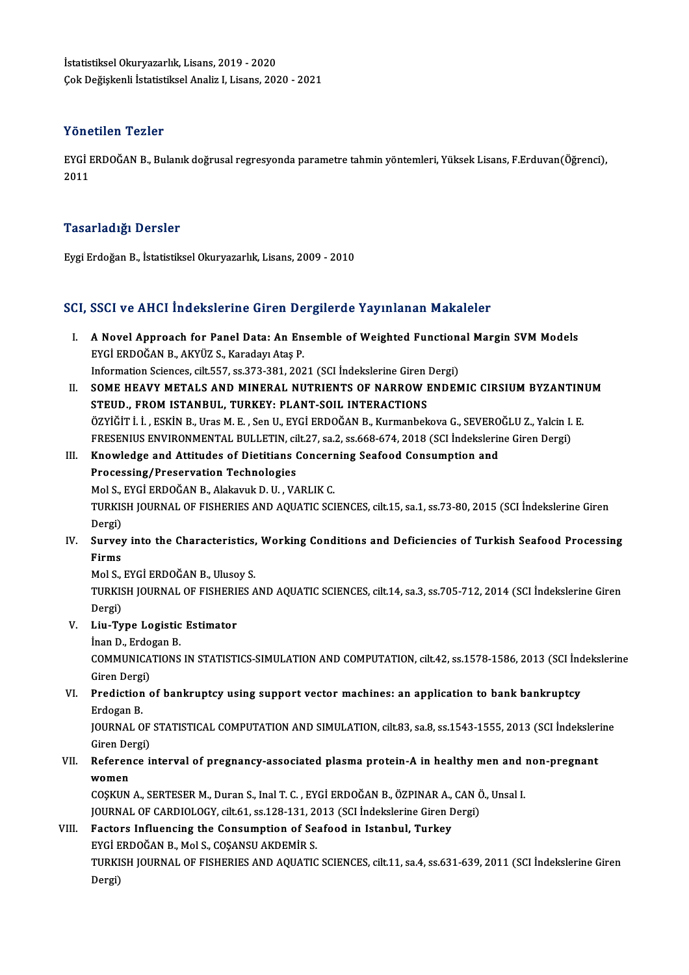İstatistiksel Okuryazarlık, Lisans, 2019 - 2020 ÇokDeğişkenli İstatistikselAnaliz I,Lisans,2020 -2021

### Yönetilen Tezler

Yönetilen Tezler<br>EYGİ ERDOĞAN B., Bulanık doğrusal regresyonda parametre tahmin yöntemleri, Yüksek Lisans, F.Erduvan(Öğrenci),<br>2011 1 0 11<br>EYGİ I<br>2011

# 2011<br>Tasarladığı Dersler

EygiErdoğanB., İstatistikselOkuryazarlık,Lisans,2009 -2010

# eygi eraogan B., istatistiksei Okuryazarlık, Lisans, 2009 - 2010<br>SCI, SSCI ve AHCI İndekslerine Giren Dergilerde Yayınlanan Makaleler

- CI, SSCI ve AHCI İndekslerine Giren Dergilerde Yayınlanan Makaleler<br>I. A Novel Approach for Panel Data: An Ensemble of Weighted Functional Margin SVM Models<br>EVCİ EPDOĞAN B. AKVÜZ S. Karadayı Atas B EYGİ FORMAN MAZMANINDE SIYAL DE<br>A Novel Approach for Panel Data: An En<br>EYGİ ERDOĞAN B., AKYÜZ S., Karadayı Ataş P. A Novel Approach for Panel Data: An Ensemble of Weighted Function:<br>EYGİ ERDOĞAN B., AKYÜZ S., Karadayı Ataş P.<br>Information Sciences, cilt.557, ss.373-381, 2021 (SCI İndekslerine Giren Dergi)<br>SOME HEAVY METAL S.AND MINERAL EYGİ ERDOĞAN B., AKYÜZ S., Karadayı Ataş P.<br>Information Sciences, cilt.557, ss.373-381, 2021 (SCI İndekslerine Giren Dergi)<br>II. SOME HEAVY METALS AND MINERAL NUTRIENTS OF NARROW ENDEMIC CIRSIUM BYZANTINUM<br>STEUD, EROM ISTAN
- Information Sciences, cilt.557, ss.373-381, 2021 (SCI Indekslerine Giren)<br>SOME HEAVY METALS AND MINERAL NUTRIENTS OF NARROW I<br>STEUD., FROM ISTANBUL, TURKEY: PLANT-SOIL INTERACTIONS<br>ÖZVİĞİT İ. İ. ESKİN B. Hras M. E. Son II. SOME HEAVY METALS AND MINERAL NUTRIENTS OF NARROW ENDEMIC CIRSIUM BYZANTIN<br>STEUD., FROM ISTANBUL, TURKEY: PLANT-SOIL INTERACTIONS<br>ÖZYİĞİT İ. İ., ESKİN B., Uras M. E. , Sen U., EYGİ ERDOĞAN B., Kurmanbekova G., SEVEROĞLU Z. STEUD., FROM ISTANBUL, TURKEY: PLANT-SOIL INTERACTIONS<br>ÖZYİĞİT İ. İ., ESKİN B., Uras M. E. , Sen U., EYGİ ERDOĞAN B., Kurmanbekova G., SEVEROĞLU Z., Yalcin I. E. ÖZYİĞİT İ. İ. , ESKİN B., Uras M. E. , Sen U., EYGİ ERDOĞAN B., Kurmanbekova G., SEVERO<br>FRESENIUS ENVIRONMENTAL BULLETIN, cilt.27, sa.2, ss.668-674, 2018 (SCI İndekslerir<br>III. Knowledge and Attitudes of Dietitians Concerni
- FRESENIUS ENVIRONMENTAL BULLETIN, cilt.27, sa.2, ss.668-674, 2018 (SCI İndekslerine Giren Dergi)<br>Knowledge and Attitudes of Dietitians Concerning Seafood Consumption and<br>Processing/Preservation Technologies<br>Mol S., EYGİ ER Knowledge and Attitudes of Dietitians Concern<br>Processing/Preservation Technologies<br>Mol S., EYGİ ERDOĞAN B., Alakavuk D. U. , VARLIK C.<br>TURKISH JOURNAL OF EISHERIES AND AQUATIC SCI TURKISH JOURNAL OF FISHERIES AND AQUATIC SCIENCES, cilt.15, sa.1, ss.73-80, 2015 (SCI İndekslerine Giren Dergi) TURKISH JOURNAL OF FISHERIES AND AQUATIC SCIENCES, cilt.15, sa.1, ss.73-80, 2015 (SCI İndekslerine Giren<br>Dergi)<br>IV. Survey into the Characteristics, Working Conditions and Deficiencies of Turkish Seafood Processing<br>Finns
- Dergi)<br><mark>Survey</mark><br>Firms<br>Mol S Survey into the Characteristics,<br>Firms<br>Mol S., EYGİ ERDOĞAN B., Ulusoy S.<br>TURKISH JOURNAL OF EISHERIES A

Firms<br>Mol S., EYGİ ERDOĞAN B., Ulusoy S.<br>TURKISH JOURNAL OF FISHERIES AND AQUATIC SCIENCES, cilt.14, sa.3, ss.705-712, 2014 (SCI İndekslerine Giren Dergi) TURKISH JOURNAL OF FISHERI!<br>Dergi)<br>V. Liu-Type Logistic Estimator<br>Inan D. Erdosan B. Dergi)<br><mark>Liu-Type Logistic</mark><br>İnan D., Erdogan B.<br>COMMUNICATIONS

- -

İnan D., Erdogan B.<br>COMMUNICATIONS IN STATISTICS-SIMULATION AND COMPUTATION, cilt.42, ss.1578-1586, 2013 (SCI İndekslerine Giren Dergi) COMMUNICATIONS IN STATISTICS-SIMULATION AND COMPUTATION, cilt.42, ss.1578-1586, 2013 (SCI ind<br>Giren Dergi)<br>VI. Prediction of bankruptcy using support vector machines: an application to bank bankruptcy<br>Frequency

# Giren Dergi<br><mark>Prediction</mark><br>Erdogan B.<br>JOUPNAL O Prediction of bankruptcy using support vector machines: an application to bank bankruptcy<br>Erdogan B.<br>JOURNAL OF STATISTICAL COMPUTATION AND SIMULATION, cilt.83, sa.8, ss.1543-1555, 2013 (SCI İndekslerine<br>Ciron Dargi)

Erdogan B.<br>JOURNAL OF<br>Giren Dergi)<br>Peference i JOURNAL OF STATISTICAL COMPUTATION AND SIMULATION, cilt.83, sa.8, ss.1543-1555, 2013 (SCI İndeksler Giren Dergi)<br>VII. Reference interval of pregnancy-associated plasma protein-A in healthy men and non-pregnant<br>women

# Giren De<br><mark>Referen</mark><br>women<br>COSKIIN Reference interval of pregnancy-associated plasma protein-A in healthy men and :<br>women<br>COSKUN A., SERTESER M., Duran S., Inal T. C. , EYGİ ERDOĞAN B., ÖZPINAR A., CAN Ö., Unsal I.<br>JOUPMAL OE CAPDIOLOCY, silt 61, 88,129,121

women<br>COŞKUN A., SERTESER M., Duran S., Inal T. C. , EYGİ ERDOĞAN B., ÖZPINAR A., CAN Ö., Unsal I.<br>JOURNAL OF CARDIOLOGY, cilt.61, ss.128-131, 2013 (SCI İndekslerine Giren Dergi) COSKUN A., SERTESER M., Duran S., Inal T. C., EYGİ ERDOĞAN B., ÖZPINAR A.,<br>JOURNAL OF CARDIOLOGY, cilt.61, ss.128-131, 2013 (SCI İndekslerine Giren D.<br>VIII. Factors Influencing the Consumption of Seafood in Istanbul, Turke

**JOURNAL OF CARDIOLOGY, cilt61, ss.128-131, 20<br>Factors Influencing the Consumption of Se:<br>EYGİ ERDOĞAN B., Mol S., COŞANSU AKDEMİR S.<br>TURKISH IQURNAL OF EISHEDIES AND AQUATIC** Factors Influencing the Consumption of Seafood in Istanbul, Turkey<br>EYGİ ERDOĞAN B., Mol S., COŞANSU AKDEMİR S.<br>TURKISH JOURNAL OF FISHERIES AND AQUATIC SCIENCES, cilt.11, sa.4, ss.631-639, 2011 (SCI İndekslerine Giren<br>Pers EYGİ E<br>TURKI<br>Dergi)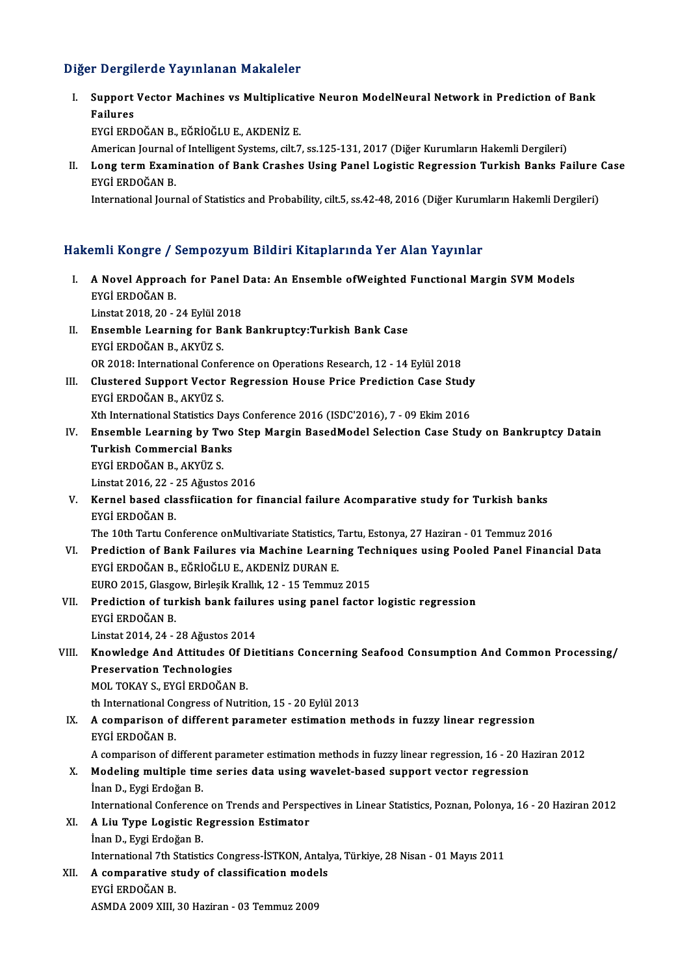## Diğer Dergilerde Yayınlanan Makaleler

iğer Dergilerde Yayınlanan Makaleler<br>I. Support Vector Machines vs Multiplicative Neuron ModelNeural Network in Prediction of Bank<br>Railuses r Dorgin<br>Support<br>Failures<br>Evci EPD Failures<br>EYGİ ERDOĞAN B., EĞRİOĞLU E., AKDENİZ E.

American Journal of Intelligent Systems, cilt.7, ss.125-131, 2017 (Diğer Kurumların Hakemli Dergileri)

EYGİ ERDOĞAN B., EĞRİOĞLU E., AKDENİZ E.<br>American Journal of Intelligent Systems, cilt.7, ss.125-131, 2017 (Diğer Kurumların Hakemli Dergileri)<br>II. Long term Examination of Bank Crashes Using Panel Logistic Regression American Journal<br>Long term Exam<br>EYGİ ERDOĞAN B.<br>International Journ

EYGİ ERDOĞAN B.<br>International Journal of Statistics and Probability, cilt.5, ss.42-48, 2016 (Diğer Kurumların Hakemli Dergileri)

### Hakemli Kongre / Sempozyum Bildiri Kitaplarında Yer Alan Yayınlar

- akemli Kongre / Sempozyum Bildiri Kitaplarında Yer Alan Yayınlar<br>I. A Novel Approach for Panel Data: An Ensemble ofWeighted Functional Margin SVM Models<br>EVCLEPDOČAN B EXHIT HONGLOT<br>A Novel Approac<br>EYGİ ERDOĞAN B. A Novel Approach for Panel I<br>EYGİ ERDOĞAN B.<br>Linstat 2018, 20 - 24 Eylül 2018<br>Encemble Learning for Bank EYGİ ERDOĞAN B.<br>Linstat 2018, 20 - 24 Eylül 2018<br>II. Ensemble Learning for Bank Bankruptcy:Turkish Bank Case<br>EYGİ ERDOĞAN B., AKYÜZ S.
- Linstat 2018, 20 24 Eylül 20<br>Ensemble Learning for B:<br>EYGİ ERDOĞAN B., AKYÜZ S.<br>OP 2019: International Conf OR 2018: International Conference on Operations Research, 12 - 14 Eylül 2018 EYGİ ERDOĞAN B., AKYÜZ S.<br>OR 2018: International Conference on Operations Research, 12 - 14 Eylül 2018<br>III. Clustered Support Vector Regression House Price Prediction Case Study<br>EVCİ EPDOĞAN B. AKYÜZ S
- EYGİ ERDOĞAN B., AKYÜZ S.<br>Xth International Statistics Days Conference 2016 (ISDC'2016), 7 09 Ekim 2016 Clustered Support Vector Regression House Price Prediction Case Study<br>EYGİ ERDOĞAN B., AKYÜZ S.<br>Xth International Statistics Days Conference 2016 (ISDC'2016), 7 - 09 Ekim 2016<br>Encemble Learning by Two Stan Margin BasedMode
- IV. Ensemble Learning by Two Step Margin BasedModel Selection Case Study on Bankruptcy Datain Xth International Statistics Day<br>Ensemble Learning by Two<br>Turkish Commercial Banks<br>EVCLEPDOČAN P. A*VV*ÜZ S Ensemble Learning by Tw<br>Turkish Commercial Bank<br>EYGİ ERDOĞAN B., AKYÜZ S.<br>Linstat 2016-22 - 25. Ağustos EYGİ ERDOĞAN B., AKYÜZ S.<br>Linstat 2016, 22 - 25 Ağustos 2016 EYGİ ERDOĞAN B., AKYÜZ S.<br>Linstat 2016, 22 - 25 Ağustos 2016<br>V. Kernel based classfiication for financial failure Acomparative study for Turkish banks<br>EVCİ ERDOĞAN R
- Linstat 2016, 22 :<br>Kernel based cla<br>EYGİ ERDOĞAN B.<br>The 10th Tertu Co Kernel based classfiication for financial failure Acomparative study for Turkish banks<br>EYGİ ERDOĞAN B.<br>The 10th Tartu Conference onMultivariate Statistics, Tartu, Estonya, 27 Haziran - 01 Temmuz 2016<br>Prodistion of Bank Fai

EYGİ ERDOĞAN B.<br>The 10th Tartu Conference onMultivariate Statistics, Tartu, Estonya, 27 Haziran - 01 Temmuz 2016<br>VI. Prediction of Bank Failures via Machine Learning Techniques using Pooled Panel Financial Data<br>EVCİ ER The 10th Tartu Conference onMultivariate Statistics, 7<br>Prediction of Bank Failures via Machine Learni<br>EYGİ ERDOĞAN B., EĞRİOĞLU E., AKDENİZ DURAN E.<br>EURO 2015, Glassou, Birlesik Krallık 12, 15 Tammur Prediction of Bank Failures via Machine Learning Tec<br>EYGİ ERDOĞAN B., EĞRİOĞLU E., AKDENİZ DURAN E.<br>EURO 2015, Glasgow, Birleşik Krallık, 12 - 15 Temmuz 2015<br>Predistion of turkish bank failures using napol fastor EYGİ ERDOĞAN B., EĞRİOĞLU E., AKDENİZ DURAN E.<br>EURO 2015, Glasgow, Birleşik Krallık, 12 - 15 Temmuz 2015<br>VII. Prediction of turkish bank failures using panel factor logistic regression<br>EVCİ ERDOĞAN B

EURO 2015, Glasgo<br>Prediction of turk<br>EYGİ ERDOĞAN B.<br>Linstat 2014, 24 Prediction of turkish bank failu:<br>EYGİ ERDOĞAN B.<br>Linstat 2014, 24 - 28 Ağustos 2014<br>Knowledge And Attitudes Of Dis

# EYGİ ERDOĞAN B.<br>Linstat 2014, 24 - 28 Ağustos 2014<br>VIII. Knowledge And Attitudes Of Dietitians Concerning Seafood Consumption And Common Processing/<br>Procenuation Technologies Linstat 2014, 24 - 28 Ağustos 2<br><mark>Knowledge And Attitudes 0</mark><br>Preservation Technologies<br>MOL TOKAY S. EVCİ EPDOČAN Preservation Technologies<br>MOL TOKAY S., EYGİ ERDOĞAN B. Preservation Technologies<br>MOL TOKAY S., EYGİ ERDOĞAN B.<br>th International Congress of Nutrition, 15 - 20 Eylül 2013<br>A composison of different parameter estimation me

# IX. A comparison of different parameter estimation methods in fuzzy linear regression<br>EYGİ ERDOĞAN B. th International Co<br>A comparison of<br>EYGİ ERDOĞAN B.<br>A comparison of d A comparison of different parameter estimation methods in fuzzy linear regression<br>EYGİ ERDOĞAN B.<br>A comparison of different parameter estimation methods in fuzzy linear regression, 16 - 20 Haziran 2012<br>Modeling multiple ti

# X. Modeling multiple time series data using wavelet-based support vector regression inan D., Eygi Erdoğan B. A comparison of differer<br>Modeling multiple tim<br>İnan D., Eygi Erdoğan B.<br>International Conference Modeling multiple time series data using wavelet-based support vector regression<br>Inan D., Eygi Erdoğan B.<br>International Conference on Trends and Perspectives in Linear Statistics, Poznan, Polonya, 16 - 20 Haziran 2012

# XI. A Liu Type Logistic Regression Estimator International Conference<br>**A Liu Type Logistic Re**<br>İnan D., Eygi Erdoğan B.<br>International 7th Statisti A Liu Type Logistic Regression Estimator<br>İnan D., Eygi Erdoğan B.<br>International 7th Statistics Congress-İSTKON, Antalya, Türkiye, 28 Nisan - 01 Mayıs 2011<br>A comporative study of slassifisation models.

# Inan D., Eygi Erdoğan B.<br>International 7th Statistics Congress-ISTKON, Antaly<br>XII. A comparative study of classification models<br>EVCI EPDOČAN B

# International 7th S<br>A comparative s<br>EYGİ ERDOĞAN B.<br>ASMDA 2000 YUL A comparative study of classification mode<br>EYGİ ERDOĞAN B.<br>ASMDA 2009 XIII, 30 Haziran - 03 Temmuz 2009